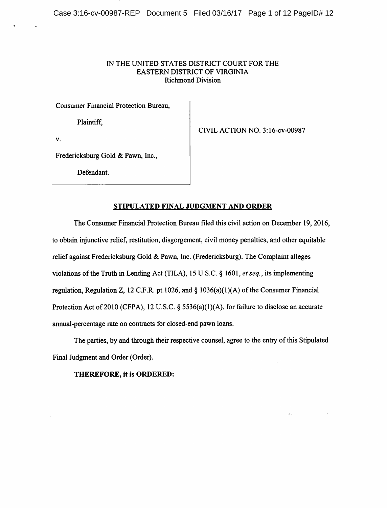## IN THE UNITED STATES DISTRICT COURT FOR THE EASTERN DISTRICT OF VIRGINIA Richmond Division

Consumer Financial Protection Bureau,

Plaintiff,

CIVIL ACTION NO. 3:16-cv-00987

V.

Fredericksburg Gold & Pawn, Inc.,

Defendant.

## STIPULATED FINAL JUDGMENT AND ORDER

The Consumer Financial Protection Bureau filed this civil action on December 19, 2016, to obtain injunctive relief, restitution, disgorgement, civil money penalties, and other equitable relief against Fredericksburg Gold & Pawn, Inc. (Fredericksburg). The Complaint alleges violations of the Truth in Lending Act (TILA), 15 U.S.C. § 1601, et seq., its implementing regulation, Regulation Z, 12 C.F.R. pt. 1026, and  $\S$  1036(a)(1)(A) of the Consumer Financial Protection Act of 2010 (CFPA), 12 U.S.C. § 5536(a)(1)(A), for failure to disclose an accurate annual-percentage rate on contracts for closed-end pawn loans.

The parties, by and through their respective counsel, agree to the entry of this Stipulated Final Judgment and Order (Order).

THEREFORE, it is ORDERED: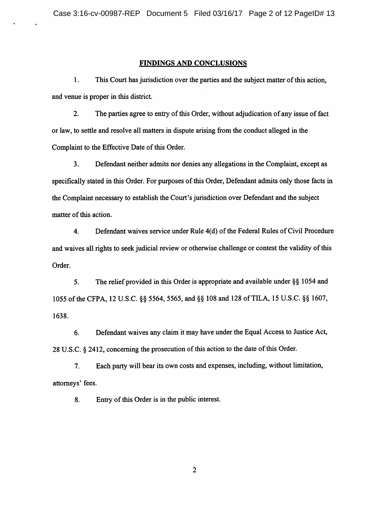## FINDINGS AND CONCLUSIONS

1. This Court has jurisdiction over the parties and the subject matter ofthis action, and venue is proper in this district.

2. The parties agree to entry of this Order, without adjudication of any issue of fact or law, to settle and resolve all matters in dispute arising from the conduct alleged in the Complaint to the Effective Date of this Order.

3. Defendant neither admits nor denies any allegations in the Complaint, except as specifically stated in this Order. For purposes of this Order, Defendant admits only those facts in the Complaint necessary to establish the Court's jurisdiction over Defendant and the subject matter of this action.

4. Defendant waives service under Rule 4(d) of the Federal Rules of Civil Procedure and waives all rights to seek judicial review or otherwise challenge or contest the validity of this Order.

5. The relief provided in this Order is appropriate and available under §§ 1054 and 1055 ofthe CFPA, 12 U.S.C. §§ 5564, 5565, and §§ 108 and 128 ofTILA, 15 U.S.C. §§ 1607, 1638.

6. Defendant waives any claim it may have under the Equal Access to Justice Act, 28 U.S.C. § 2412, concerning the prosecution of this action to the date of this Order.

7. Each party will bear its own costs and expenses, including, without limitation, attorneys' fees.

8. Entry of this Order is in the public interest.

 $\overline{2}$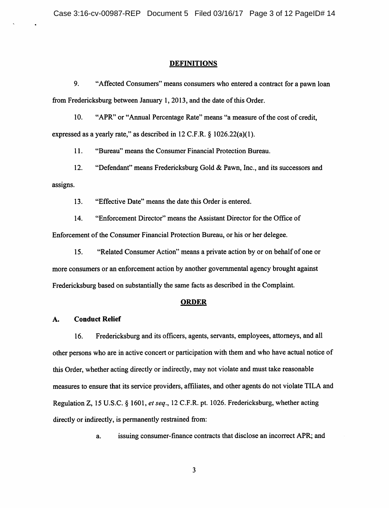#### DEFINITIONS

9. "Affected Consumers" means consumers who entered a contract for a pawn loan from Fredericksburg between January 1, 2013, and the date of this Order.

10. "APR" or "Annual Percentage Rate" means "a measure of the cost of credit, expressed as a yearly rate," as described in 12 C.F.R. § 1026.22(a)(1).

11. "Bureau" means the Consumer Financial Protection Bureau.

12. "Defendant" means Fredericksburg Gold & Pawn, Inc., and its successors and assigns.

13. "Effective Date" means the date this Order is entered.

14. "Enforcement Director" means the Assistant Director for the Office of Enforcement of the Consumer Financial Protection Bureau, or his or her delegee.

15. "Related Consumer Action" means a private action by or on behalfof one or more consumers or an enforcement action by another governmental agency brought against Fredericksburg based on substantially the same facts as described in the Complaint.

#### ORDER

#### A. Conduct Relief

16. Fredericksburg and its officers, agents, servants, employees, attorneys, and all other persons who are in active concert or participation with them and who have actual notice of this Order, whether acting directly or indirectly, may not violate and must take reasonable measures to ensure that its service providers, affiliates, and other agents do not violate TILA and Regulation Z, 15 U.S.C. § 1601, et seq., 12 C.F.R. pt. 1026. Fredericksburg, whether acting directly or indirectly, is permanently restrained from:

a. issuing consumer-finance contracts that disclose an incorrect APR; and

 $\mathbf{3}$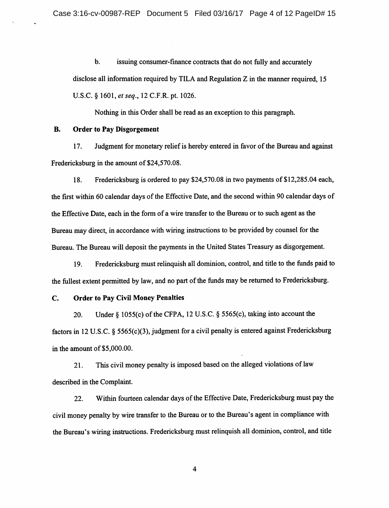b. issuing consumer-finance contracts that do not fully and accurately disclose all information required by TILA and Regulation Z in the manner required, 15 U.S.C. § 1601, et seq., 12 C.F.R. pt. 1026.

Nothing in this Order shall be read as an exception to this paragraph.

### B. Order to Pay Disgorgement

17. Judgment for monetary relief is hereby entered in favor of the Bureau and against Fredericksburg in the amount of \$24,570.08.

18. Fredericksburg is ordered to pay \$24,570.08 in two payments of \$12,285.04 each, the first within 60 calendar days of the Effective Date, and the second within 90 calendar days of the Effective Date, each in the form of a wire transfer to the Bureau or to such agent as the Bureau may direct, in accordance with wiring instructions to be provided by counsel for the Bureau. The Bureau will deposit the payments in the United States Treasury as disgorgement.

19. Fredericksburg must relinquishall dominion, control, and title to the funds paid to the fullest extent permitted by law, and no partof the funds maybe returned to Fredericksburg.

## C. Order to Pay Civil Money Penalties

20. Under  $\S$  1055(c) of the CFPA, 12 U.S.C.  $\S$  5565(c), taking into account the factors in 12 U.S.C. § 5565(c)(3), judgment for a civil penalty is entered against Fredericksburg in the amount of \$5,000.00.

21. This civil money penalty is imposed based on the alleged violations of law described in the Complaint.

22. Within fourteen calendar days of the Effective Date, Fredericksburg must pay the civil money penalty by wire transfer to the Bureau or to the Bureau's agent in compliance with the Bureau's wiring instructions. Fredericksburg mustrelinquish all dominion, control, and title

 $\overline{\mathbf{4}}$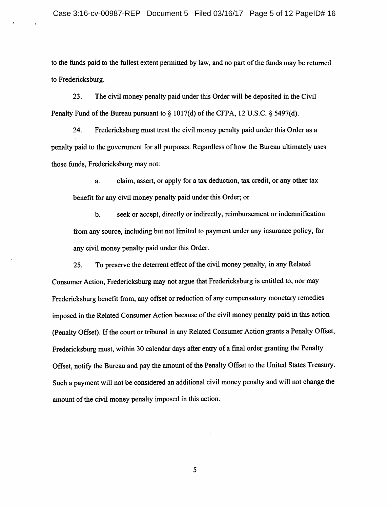to the funds paid to the fullest extent permitted by law, and no part of the funds may be returned to Fredericksburg.

23. The civil money penalty paid under this Order will be deposited in the Civil Penalty Fund of the Bureau pursuant to  $\S 1017(d)$  of the CFPA, 12 U.S.C.  $\S 5497(d)$ .

24. Fredericksburg must treat the civil money penalty paid under this Order as a penalty paid to the government for all purposes. Regardless of how the Bureau ultimately uses those funds, Fredericksburg may not:

a. claim, assert, or apply for a tax deduction, tax credit, or any other tax benefit for any civil money penalty paid under this Order; or

b. seek or accept, directly or indirectly, reimbursement or indemnification fromany source, including but not limited to payment underany insurance policy, for any civil money penalty paid under this Order.

25. To preserve the deterrent effect of the civil money penalty, in any Related Consumer Action, Fredericksburg may not argue that Fredericksburg is entitled to, nor may Fredericksburg benefit from, any offset or reduction of any compensatory monetary remedies imposed in the Related Consumer Action because of the civil money penalty paid in this action (Penalty Offset). If the court or tribunal in any Related Consumer Action grants a Penalty Offset, Fredericksburg must, within 30 calendar days after entry of a final order granting the Penalty Offset, notify the Bureau and pay the amount of the Penalty Offset to the United States Treasury. Such a payment will not be considered an additional civil money penalty and will not change the amount of the civil money penalty imposed in this action.

5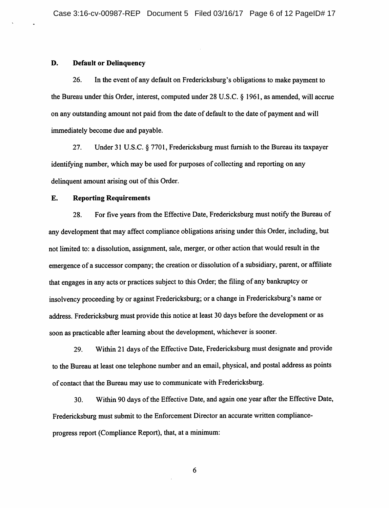### D. Default or Delinquency

26. In the event of any default on Fredericksburg's obligations to make payment to the Bureau under this Order, interest, computed under 28 U.S.C. § 1961, as amended, will accrue on any outstanding amount not paid from the date of default to the date of payment and will immediately become due and payable.

27. Under 31 U.S.C. § 7701, Fredericksburg must furnish to the Bureau its taxpayer identifying number, which may be used for purposes of collecting and reporting on any delinquent amount arising out of this Order.

#### E. Reporting Requirements

28. For five years from the Effective Date, Fredericksburg must notify the Bureau of any development that may affect compliance obligations arising under this Order, including, but not limited to: a dissolution, assignment, sale, merger, or other action that would result in the emergence of a successor company; the creation or dissolution of a subsidiary, parent, or affiliate that engages in any acts or practices subject to this Order; the filing of any bankruptcy or insolvency proceeding by or against Fredericksburg; or a change in Fredericksburg's name or address. Fredericksburg must provide this notice at least 30 days before the development or as soon as practicable after learning about the development, whichever is sooner.

29. Within21 days of the Effective Date, Fredericksburg must designate and provide to the Bureau at least one telephone number and an email, physical, and postal address as points of contact that the Bureau may use to communicate with Fredericksburg.

30. Within 90 days of the Effective Date, and again one year after the Effective Date, Fredericksburg must submit to the Enforcement Director an accurate written complianceprogress report (Compliance Report), that, at a minimum:

6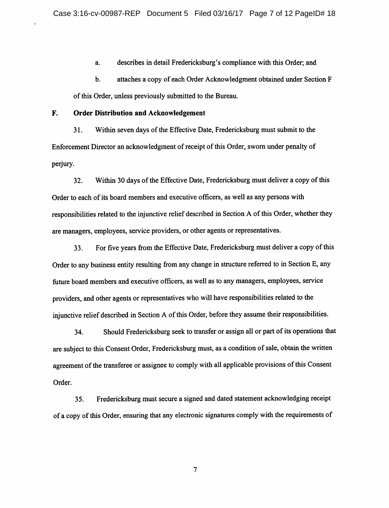a. describes in detail Fredericksburg's compliance with this Order; and

b. attaches a copy of each Order Acknowledgment obtained under Section F of this Order, unless previously submitted to the Bureau.

F. Order Distribution and Acknowledgement

31. Within seven days of the Effective Date, Fredericksburg must submit to the Enforcement Director an acknowledgment of receipt of this Order, sworn under penalty of perjury.

32. Within 30 days of the Effective Date, Fredericksburg must deliver a copy of this Order to each of its board members and executive officers, as well as any persons with responsibilities related to the injunctive relief described in Section A of this Order, whether they are managers, employees, service providers, or other agents or representatives.

33. Forfive yearsfrom the Effective Date, Fredericksburg mustdelivera copyof this Order to any business entity resulting from any change in structure referred to in Section E, any future board members and executive officers, as well as to any managers, employees, service providers, and other agents or representatives who will have responsibilities related to the injunctive relief described in Section A of this Order, before they assume their responsibilities.

34. Should Fredericksburg seek to transfer or assign all or part of its operations that are subject to this Consent Order, Fredericksburg must, as a condition of sale, obtain the written agreement of the transferee or assignee to comply with all applicable provisions of this Consent Order.

35. Fredericksburg must secure a signed and dated statement acknowledging receipt of a copyof thisOrder, ensuring that any electronic signatures complywith the requirements of

 $7\phantom{.0}$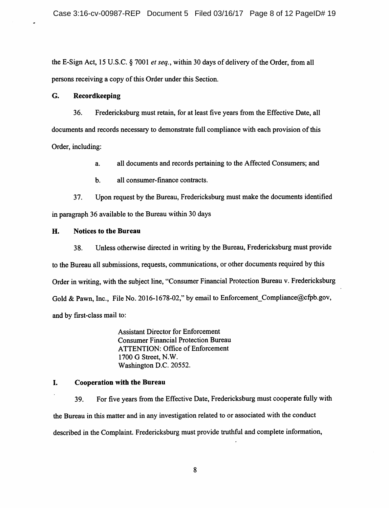the E-Sign Act, 15 U.S.C.  $\S$  7001 *et seq.*, within 30 days of delivery of the Order, from all persons receiving a copy of this Order under this Section.

## G. Recordkeeping

36. Fredericksburg must retain, for at least five years from the Effective Date, all documents and records necessary to demonstrate full compliance with each provision of this Order, including:

a. all documents and records pertaining to the Affected Consumers; and

b. all consumer-finance contracts.

37. Upon request by the Bureau, Fredericksburg must make the documents identified in paragraph 36 available to the Bureau within 30 days

## H. Notices to the Bureau

38. Unless otherwise directed in writing by the Bureau, Fredericksburg must provide to the Bureau all submissions, requests, communications, or other documents required by this Order in writing, with the subject line, "Consumer Financial Protection Bureau v. Fredericksburg Gold & Pawn, Inc., File No. 2016-1678-02," by email to Enforcement\_Compliance@cfpb.gov, and by first-class mail to:

> Assistant Director for Enforcement Consumer Financial Protection Bureau ATTENTION: Office of Enforcement 1700 G Street, N.W. Washington D.C. 20552.

# I. Cooperation with the Bureau

39. For five yearsfrom the Effective Date, Fredericksburg must cooperate fully with the Bureau in this matter and in any investigation related to or associated with the conduct described in the Complaint. Fredericksburg must provide truthful and complete information,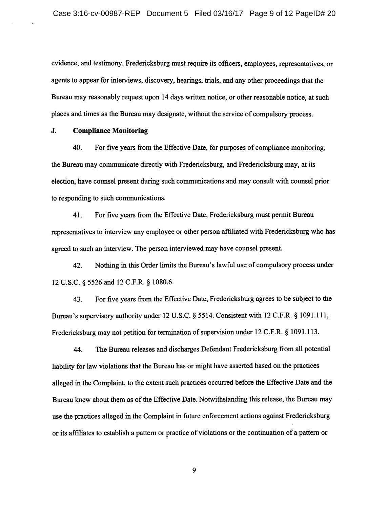evidence, and testimony. Fredericksburg must require its officers, employees, representatives, or agents to appear for interviews, discovery, hearings, trials, and any other proceedings that the Bureau may reasonably request upon 14 days written notice, or other reasonable notice, at such places and times as the Bureau may designate, without the service of compulsory process.

### J. Compliance Monitoring

40. For five years from the Effective Date, for purposes of compliance monitoring, the Bureau may communicate directly with Fredericksburg, and Fredericksburg may, at its election, have counsel present during such communications and may consult with counsel prior to responding to such communications.

41. For five years from the Effective Date, Fredericksburg must permit Bureau representatives to interview any employee or other person affiliated with Fredericksburg who has agreed to such an interview. The person interviewed may have counsel present.

42. Nothing in this Order limits the Bureau's lawfiil use of compulsory process under 12 U.S.C. § 5526 and 12 C.F.R. § 1080.6.

43. For five years from the Effective Date, Fredericksburg agrees to be subject to the Bureau's supervisory authority under 12 U.S.C. § 5514. Consistent with 12 C.F.R. § 1091.111, Fredericksburg may not petition for termination of supervision under 12 C.F.R. § 1091.113.

44. The Bureau releases and discharges Defendant Fredericksburg from all potential liability for law violations that the Bureau has or might have asserted based on the practices alleged in the Complaint, to the extent such practices occurred before the Effective Date and the Bureau knew about them as of the Effective Date. Notwithstanding this release, the Bureau may use the practices alleged in the Complaint in fiiture enforcement actions against Fredericksburg or its affihates to establish a pattern or practice of violations or the continuation of a pattern or

9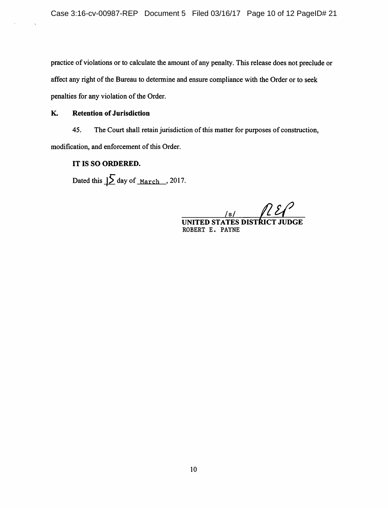practice of violations or to calculate the amount of any penalty. This release does not preclude or affect any right of the Bureau to determine and ensure compliance with the Order or to seek penalties for any violation of the Order.

# K. Retention of Jurisdiction

45. The Court shall retain jurisdiction of this matter for purposes of construction, modification, and enforcement of this Order.

# IT IS SO ORDERED.

Dated this  $\int \int$  day of <u>March</u>, 2017.

/s/ UNITED STATES DISTRICT JUDGE ROBERT E. PAYNE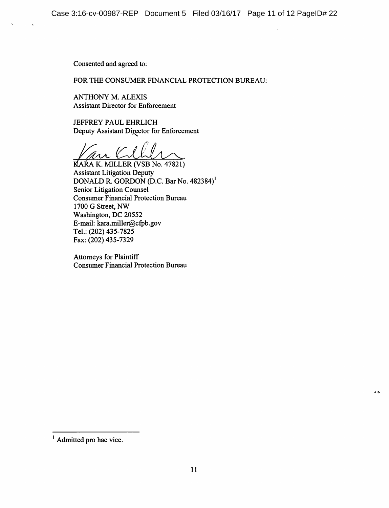Consented and agreed to:

## FOR THE CONSUMER FINANCIAL PROTECTION BUREAU:

ANTHONY M. ALEXIS Assistant Director for Enforcement

JEFFREY PAUL EHRLICH Deputy Assistant Director for Enforcement

KARA K. MILLER (VSB No. 47821) Assistant Litigation Deputy DONALD R. GORDON (D.C. Bar No. 482384)' Senior Litigation Counsel Consumer Financial Protection Bureau 1700 G Street, NW Washington, DC 20552 E-mail: kara.miller@cfpb.gov Tel.: (202) 435-7825 Fax: (202) 435-7329

Attorneys for Plaintiff Consumer Financial Protection Bureau

 $\Delta$  15

<sup>&</sup>lt;sup>1</sup> Admitted pro hac vice.